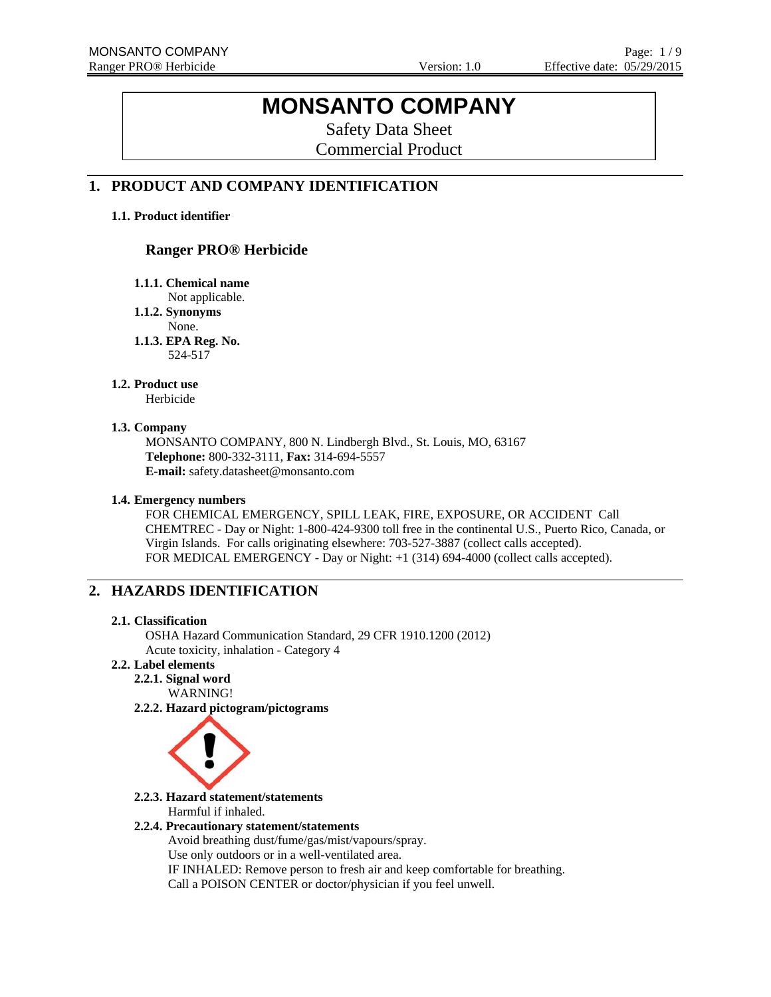# **MONSANTO COMPANY**

Safety Data Sheet Commercial Product

### **1. PRODUCT AND COMPANY IDENTIFICATION**

#### **1.1. Product identifier**

### **Ranger PRO® Herbicide**

**1.1.1. Chemical name** 

Not applicable.

**1.1.2. Synonyms** 

None.

**1.1.3. EPA Reg. No.**  524-517

#### **1.2. Product use**

Herbicide

#### **1.3. Company**

MONSANTO COMPANY, 800 N. Lindbergh Blvd., St. Louis, MO, 63167 **Telephone:** 800-332-3111, **Fax:** 314-694-5557 **E-mail:** safety.datasheet@monsanto.com

#### **1.4. Emergency numbers**

FOR CHEMICAL EMERGENCY, SPILL LEAK, FIRE, EXPOSURE, OR ACCIDENT Call CHEMTREC - Day or Night: 1-800-424-9300 toll free in the continental U.S., Puerto Rico, Canada, or Virgin Islands. For calls originating elsewhere: 703-527-3887 (collect calls accepted). FOR MEDICAL EMERGENCY - Day or Night: +1 (314) 694-4000 (collect calls accepted).

### **2. HAZARDS IDENTIFICATION**

#### **2.1. Classification**

OSHA Hazard Communication Standard, 29 CFR 1910.1200 (2012) Acute toxicity, inhalation - Category 4

### **2.2. Label elements**

**2.2.1. Signal word** WARNING!

**2.2.2. Hazard pictogram/pictograms**



**2.2.3. Hazard statement/statements**  Harmful if inhaled.

#### **2.2.4. Precautionary statement/statements**

Avoid breathing dust/fume/gas/mist/vapours/spray. Use only outdoors or in a well-ventilated area. IF INHALED: Remove person to fresh air and keep comfortable for breathing. Call a POISON CENTER or doctor/physician if you feel unwell.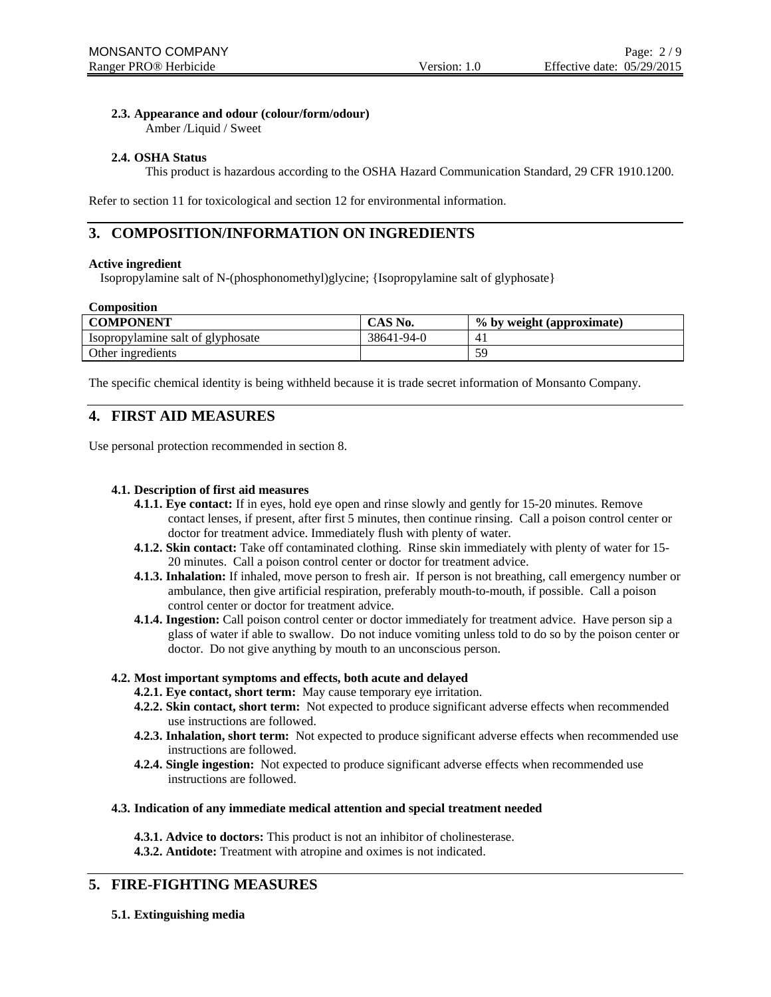### **2.3. Appearance and odour (colour/form/odour)**

Amber /Liquid / Sweet

### **2.4. OSHA Status**

This product is hazardous according to the OSHA Hazard Communication Standard, 29 CFR 1910.1200.

Refer to section 11 for toxicological and section 12 for environmental information.

### **3. COMPOSITION/INFORMATION ON INGREDIENTS**

#### **Active ingredient**

Isopropylamine salt of N-(phosphonomethyl)glycine; {Isopropylamine salt of glyphosate}

#### **Composition**

| <b>COMPONENT</b>                  | CAS No.    | % by weight (approximate) |
|-----------------------------------|------------|---------------------------|
| Isopropylamine salt of glyphosate | 38641-94-0 |                           |
| Other ingredients                 |            | 59                        |

The specific chemical identity is being withheld because it is trade secret information of Monsanto Company.

### **4. FIRST AID MEASURES**

Use personal protection recommended in section 8.

#### **4.1. Description of first aid measures**

- **4.1.1. Eye contact:** If in eyes, hold eye open and rinse slowly and gently for 15-20 minutes. Remove contact lenses, if present, after first 5 minutes, then continue rinsing. Call a poison control center or doctor for treatment advice. Immediately flush with plenty of water.
- **4.1.2. Skin contact:** Take off contaminated clothing. Rinse skin immediately with plenty of water for 15- 20 minutes. Call a poison control center or doctor for treatment advice.
- **4.1.3. Inhalation:** If inhaled, move person to fresh air. If person is not breathing, call emergency number or ambulance, then give artificial respiration, preferably mouth-to-mouth, if possible. Call a poison control center or doctor for treatment advice.
- **4.1.4. Ingestion:** Call poison control center or doctor immediately for treatment advice. Have person sip a glass of water if able to swallow. Do not induce vomiting unless told to do so by the poison center or doctor. Do not give anything by mouth to an unconscious person.

#### **4.2. Most important symptoms and effects, both acute and delayed**

- **4.2.1. Eye contact, short term:** May cause temporary eye irritation.
- **4.2.2. Skin contact, short term:** Not expected to produce significant adverse effects when recommended use instructions are followed.
- **4.2.3. Inhalation, short term:** Not expected to produce significant adverse effects when recommended use instructions are followed.
- **4.2.4. Single ingestion:** Not expected to produce significant adverse effects when recommended use instructions are followed.

#### **4.3. Indication of any immediate medical attention and special treatment needed**

**4.3.1. Advice to doctors:** This product is not an inhibitor of cholinesterase.

**4.3.2. Antidote:** Treatment with atropine and oximes is not indicated.

### **5. FIRE-FIGHTING MEASURES**

**5.1. Extinguishing media**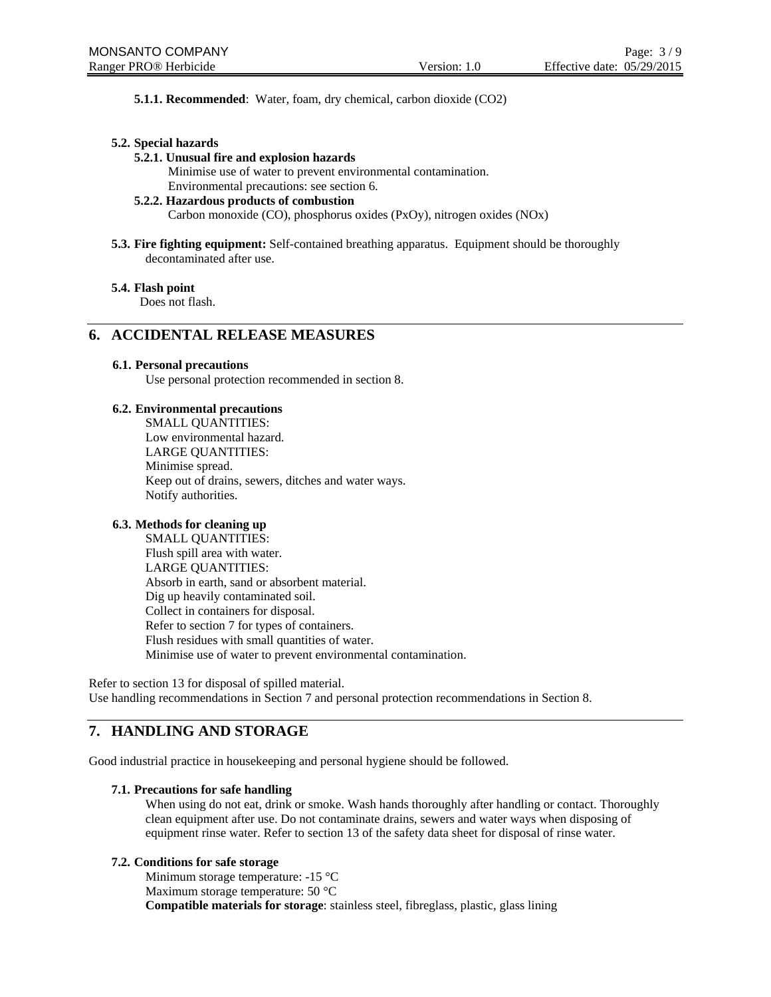**5.1.1. Recommended**: Water, foam, dry chemical, carbon dioxide (CO2)

#### **5.2. Special hazards**

#### **5.2.1. Unusual fire and explosion hazards**

Minimise use of water to prevent environmental contamination.

Environmental precautions: see section 6.

### **5.2.2. Hazardous products of combustion**

Carbon monoxide (CO), phosphorus oxides (PxOy), nitrogen oxides (NOx)

**5.3. Fire fighting equipment:** Self-contained breathing apparatus. Equipment should be thoroughly decontaminated after use.

#### **5.4. Flash point**

Does not flash.

### **6. ACCIDENTAL RELEASE MEASURES**

#### **6.1. Personal precautions**

Use personal protection recommended in section 8.

#### **6.2. Environmental precautions**

SMALL QUANTITIES: Low environmental hazard. LARGE QUANTITIES: Minimise spread. Keep out of drains, sewers, ditches and water ways. Notify authorities.

#### **6.3. Methods for cleaning up**

SMALL QUANTITIES: Flush spill area with water. LARGE QUANTITIES: Absorb in earth, sand or absorbent material. Dig up heavily contaminated soil. Collect in containers for disposal. Refer to section 7 for types of containers. Flush residues with small quantities of water. Minimise use of water to prevent environmental contamination.

Refer to section 13 for disposal of spilled material. Use handling recommendations in Section 7 and personal protection recommendations in Section 8.

### **7. HANDLING AND STORAGE**

Good industrial practice in housekeeping and personal hygiene should be followed.

#### **7.1. Precautions for safe handling**

When using do not eat, drink or smoke. Wash hands thoroughly after handling or contact. Thoroughly clean equipment after use. Do not contaminate drains, sewers and water ways when disposing of equipment rinse water. Refer to section 13 of the safety data sheet for disposal of rinse water.

#### **7.2. Conditions for safe storage**

 Minimum storage temperature: -15 °C Maximum storage temperature: 50 °C **Compatible materials for storage**: stainless steel, fibreglass, plastic, glass lining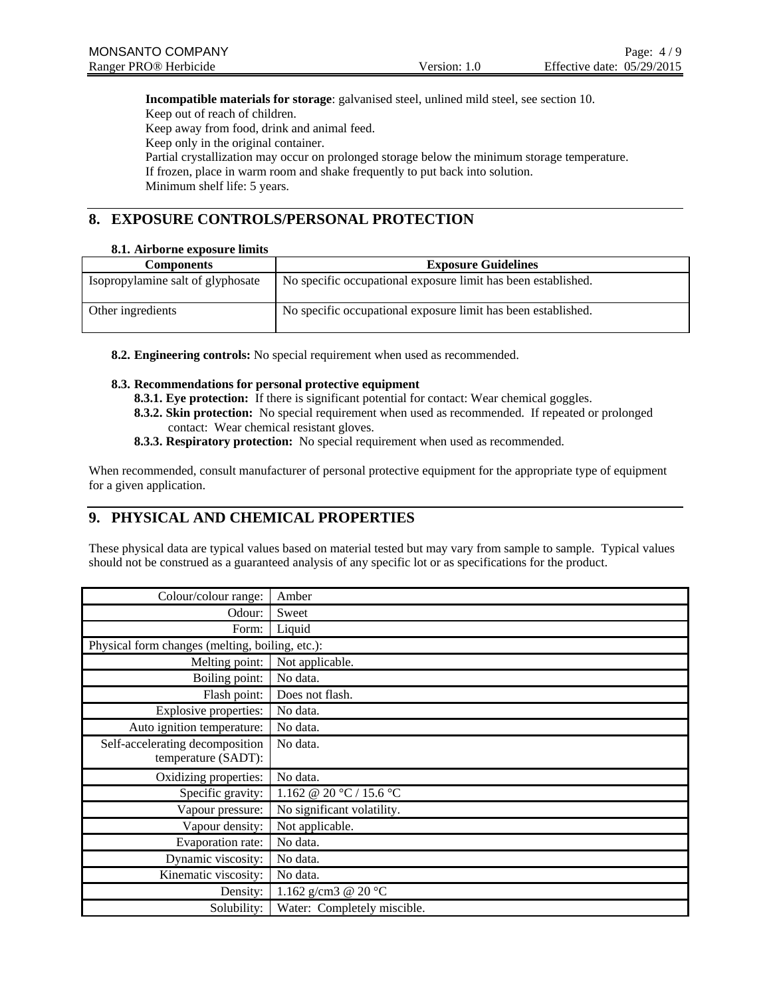**Incompatible materials for storage**: galvanised steel, unlined mild steel, see section 10. Keep out of reach of children. Keep away from food, drink and animal feed. Keep only in the original container. Partial crystallization may occur on prolonged storage below the minimum storage temperature. If frozen, place in warm room and shake frequently to put back into solution.

Minimum shelf life: 5 years.

### **8. EXPOSURE CONTROLS/PERSONAL PROTECTION**

### **8.1. Airborne exposure limits**

| <b>Components</b>                 | <b>Exposure Guidelines</b>                                    |
|-----------------------------------|---------------------------------------------------------------|
| Isopropylamine salt of glyphosate | No specific occupational exposure limit has been established. |
| Other ingredients                 | No specific occupational exposure limit has been established. |

**8.2. Engineering controls:** No special requirement when used as recommended.

#### **8.3. Recommendations for personal protective equipment**

- **8.3.1. Eye protection:** If there is significant potential for contact: Wear chemical goggles.
- **8.3.2. Skin protection:** No special requirement when used as recommended. If repeated or prolonged contact: Wear chemical resistant gloves.
- **8.3.3. Respiratory protection:** No special requirement when used as recommended.

When recommended, consult manufacturer of personal protective equipment for the appropriate type of equipment for a given application.

## **9. PHYSICAL AND CHEMICAL PROPERTIES**

These physical data are typical values based on material tested but may vary from sample to sample. Typical values should not be construed as a guaranteed analysis of any specific lot or as specifications for the product.

| Colour/colour range:                            | Amber                         |
|-------------------------------------------------|-------------------------------|
| Odour:                                          | Sweet                         |
| Form:                                           | Liquid                        |
| Physical form changes (melting, boiling, etc.): |                               |
| Melting point:                                  | Not applicable.               |
| Boiling point:                                  | No data.                      |
| Flash point:                                    | Does not flash.               |
| Explosive properties:                           | No data.                      |
| Auto ignition temperature:                      | No data.                      |
| Self-accelerating decomposition                 | No data.                      |
| temperature (SADT):                             |                               |
| Oxidizing properties:                           | No data.                      |
| Specific gravity:                               | 1.162 @ 20 °C / 15.6 °C       |
| Vapour pressure:                                | No significant volatility.    |
| Vapour density:                                 | Not applicable.               |
| Evaporation rate:                               | No data.                      |
| Dynamic viscosity:                              | No data.                      |
| Kinematic viscosity:                            | No data.                      |
| Density:                                        | 1.162 g/cm3 @ 20 $^{\circ}$ C |
| Solubility:                                     | Water: Completely miscible.   |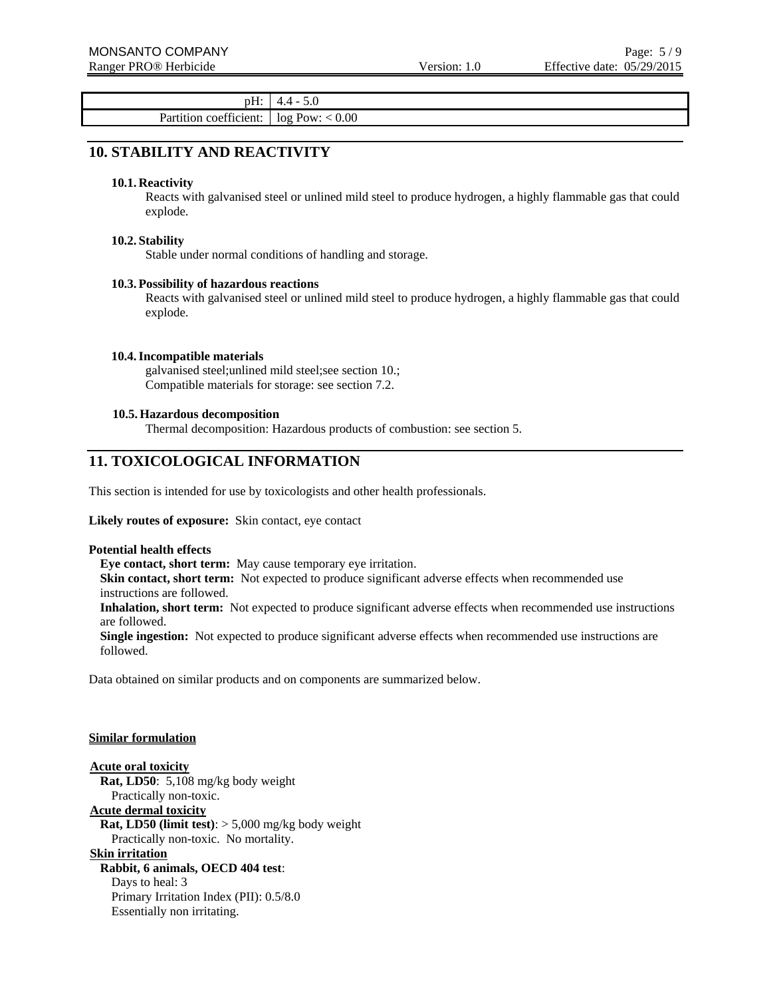pH: 4.4 - 5.0 Partition coefficient:  $\log Pow: < 0.00$ 

### **10. STABILITY AND REACTIVITY**

#### **10.1. Reactivity**

Reacts with galvanised steel or unlined mild steel to produce hydrogen, a highly flammable gas that could explode.

#### **10.2. Stability**

Stable under normal conditions of handling and storage.

#### **10.3. Possibility of hazardous reactions**

Reacts with galvanised steel or unlined mild steel to produce hydrogen, a highly flammable gas that could explode.

#### **10.4.Incompatible materials**

galvanised steel;unlined mild steel;see section 10.; Compatible materials for storage: see section 7.2.

#### **10.5. Hazardous decomposition**

Thermal decomposition: Hazardous products of combustion: see section 5.

### **11. TOXICOLOGICAL INFORMATION**

This section is intended for use by toxicologists and other health professionals.

#### **Likely routes of exposure:** Skin contact, eye contact

#### **Potential health effects**

**Eye contact, short term:** May cause temporary eye irritation.

**Skin contact, short term:** Not expected to produce significant adverse effects when recommended use instructions are followed.

**Inhalation, short term:** Not expected to produce significant adverse effects when recommended use instructions are followed.

**Single ingestion:** Not expected to produce significant adverse effects when recommended use instructions are followed.

Data obtained on similar products and on components are summarized below.

#### **Similar formulation**

**Acute oral toxicity Rat, LD50**: 5,108 mg/kg body weight Practically non-toxic.

#### **Acute dermal toxicity**

**Rat, LD50 (limit test)**: > 5,000 mg/kg body weight Practically non-toxic. No mortality.

#### **Skin irritation**

**Rabbit, 6 animals, OECD 404 test**:

Days to heal: 3 Primary Irritation Index (PII): 0.5/8.0 Essentially non irritating.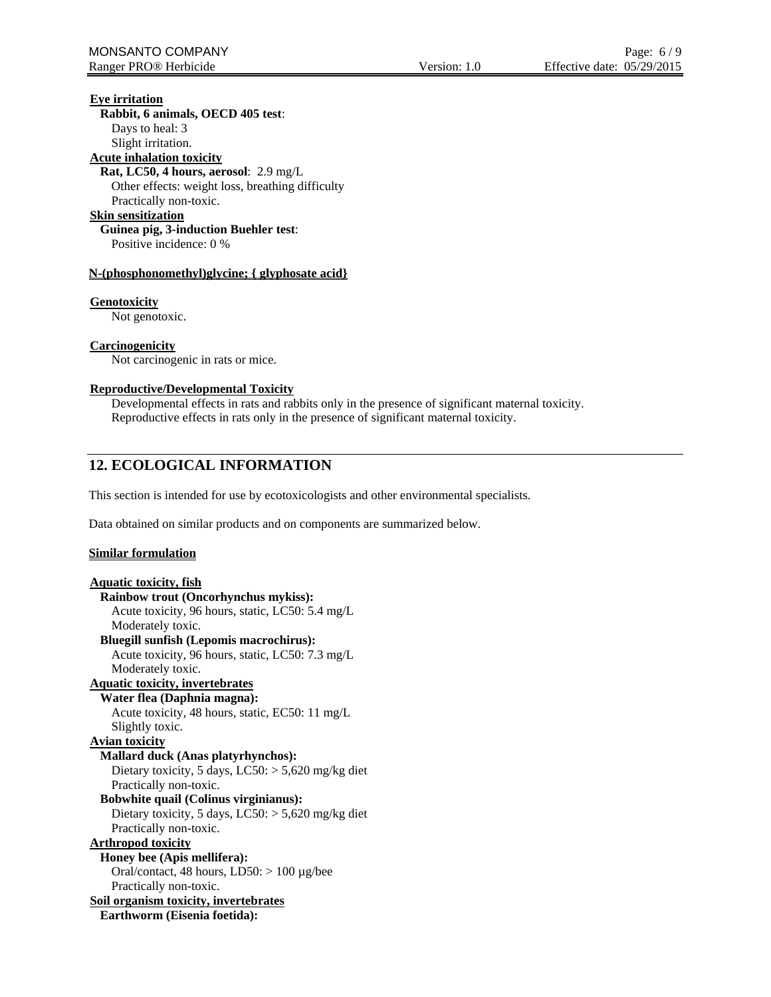### **Eye irritation**

**Rabbit, 6 animals, OECD 405 test**: Days to heal: 3 Slight irritation. **Acute inhalation toxicity Rat, LC50, 4 hours, aerosol**: 2.9 mg/L Other effects: weight loss, breathing difficulty Practically non-toxic. **Skin sensitization Guinea pig, 3-induction Buehler test**: Positive incidence: 0 %

#### **N-(phosphonomethyl)glycine; { glyphosate acid}**

#### **Genotoxicity**

Not genotoxic.

#### **Carcinogenicity**

Not carcinogenic in rats or mice.

#### **Reproductive/Developmental Toxicity**

Developmental effects in rats and rabbits only in the presence of significant maternal toxicity. Reproductive effects in rats only in the presence of significant maternal toxicity.

### **12. ECOLOGICAL INFORMATION**

This section is intended for use by ecotoxicologists and other environmental specialists.

Data obtained on similar products and on components are summarized below.

#### **Similar formulation**

```
Aquatic toxicity, fish
  Rainbow trout (Oncorhynchus mykiss):
    Acute toxicity, 96 hours, static, LC50: 5.4 mg/L 
    Moderately toxic. 
  Bluegill sunfish (Lepomis macrochirus):
    Acute toxicity, 96 hours, static, LC50: 7.3 mg/L 
    Moderately toxic. 
Aquatic toxicity, invertebrates
  Water flea (Daphnia magna):
    Acute toxicity, 48 hours, static, EC50: 11 mg/L 
    Slightly toxic. 
Avian toxicity
  Mallard duck (Anas platyrhynchos):
    Dietary toxicity, 5 days, LC50: > 5,620 mg/kg diet
    Practically non-toxic. 
  Bobwhite quail (Colinus virginianus):
    Dietary toxicity, 5 days, LC50: > 5,620 mg/kg diet
    Practically non-toxic. 
Arthropod toxicity
  Honey bee (Apis mellifera):
    Oral/contact, 48 hours, LD50: > 100 µg/bee 
    Practically non-toxic. 
Soil organism toxicity, invertebrates
  Earthworm (Eisenia foetida):
```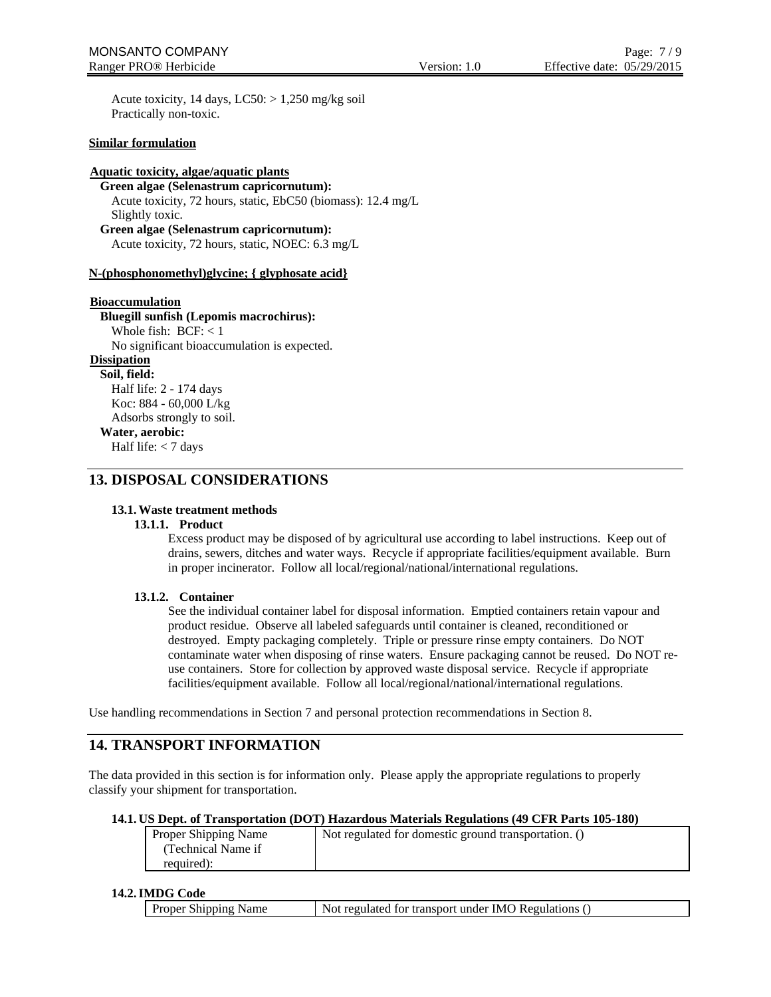Acute toxicity, 14 days,  $LC50$ :  $> 1,250$  mg/kg soil Practically non-toxic.

#### **Similar formulation**

#### **Aquatic toxicity, algae/aquatic plants**

**Green algae (Selenastrum capricornutum):** Acute toxicity, 72 hours, static, EbC50 (biomass): 12.4 mg/L Slightly toxic. **Green algae (Selenastrum capricornutum):**

Acute toxicity, 72 hours, static, NOEC: 6.3 mg/L

#### **N-(phosphonomethyl)glycine; { glyphosate acid}**

#### **Bioaccumulation**

**Bluegill sunfish (Lepomis macrochirus):** Whole fish:  $BCF: < 1$ No significant bioaccumulation is expected.

### **Dissipation**

**Soil, field:** Half life: 2 - 174 days Koc: 884 - 60,000 L/kg Adsorbs strongly to soil.

### **Water, aerobic:**

Half life: < 7 days

### **13. DISPOSAL CONSIDERATIONS**

#### **13.1.Waste treatment methods**

#### **13.1.1. Product**

Excess product may be disposed of by agricultural use according to label instructions. Keep out of drains, sewers, ditches and water ways. Recycle if appropriate facilities/equipment available. Burn in proper incinerator. Follow all local/regional/national/international regulations.

#### **13.1.2. Container**

See the individual container label for disposal information. Emptied containers retain vapour and product residue. Observe all labeled safeguards until container is cleaned, reconditioned or destroyed. Empty packaging completely. Triple or pressure rinse empty containers. Do NOT contaminate water when disposing of rinse waters. Ensure packaging cannot be reused. Do NOT reuse containers. Store for collection by approved waste disposal service. Recycle if appropriate facilities/equipment available. Follow all local/regional/national/international regulations.

Use handling recommendations in Section 7 and personal protection recommendations in Section 8.

### **14. TRANSPORT INFORMATION**

The data provided in this section is for information only. Please apply the appropriate regulations to properly classify your shipment for transportation.

#### **14.1. US Dept. of Transportation (DOT) Hazardous Materials Regulations (49 CFR Parts 105-180)**

| Proper Shipping Name | Not regulated for domestic ground transportation. () |
|----------------------|------------------------------------------------------|
| (Technical Name if   |                                                      |
| required):           |                                                      |

#### **14.2.IMDG Code**

| <b>Proper Shipping Name</b> | Not regulated for transport under IMO Regulations |
|-----------------------------|---------------------------------------------------|
|-----------------------------|---------------------------------------------------|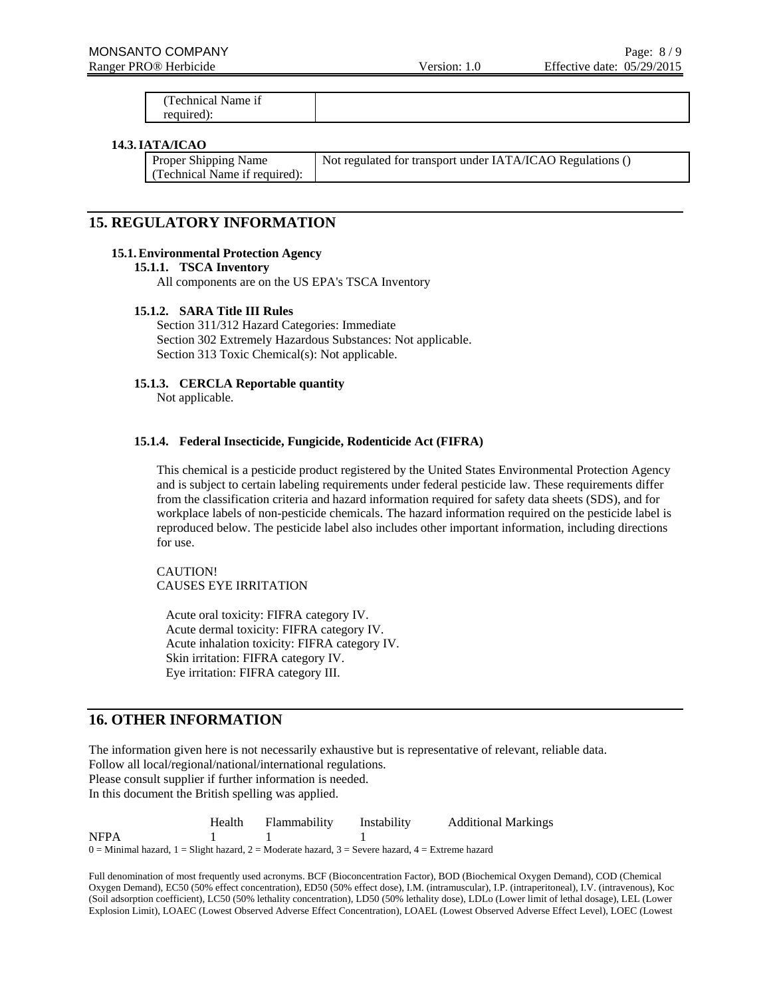(Technical Name if required):

#### **14.3.IATA/ICAO**

| <b>Proper Shipping Name</b>   | Not regulated for transport under IATA/ICAO Regulations () |
|-------------------------------|------------------------------------------------------------|
| (Technical Name if required): |                                                            |

### **15. REGULATORY INFORMATION**

#### **15.1.Environmental Protection Agency**

**15.1.1. TSCA Inventory**

All components are on the US EPA's TSCA Inventory

#### **15.1.2. SARA Title III Rules**

Section 311/312 Hazard Categories: Immediate Section 302 Extremely Hazardous Substances: Not applicable. Section 313 Toxic Chemical(s): Not applicable.

#### **15.1.3. CERCLA Reportable quantity**

Not applicable.

#### **15.1.4. Federal Insecticide, Fungicide, Rodenticide Act (FIFRA)**

This chemical is a pesticide product registered by the United States Environmental Protection Agency and is subject to certain labeling requirements under federal pesticide law. These requirements differ from the classification criteria and hazard information required for safety data sheets (SDS), and for workplace labels of non-pesticide chemicals. The hazard information required on the pesticide label is reproduced below. The pesticide label also includes other important information, including directions for use.

CAUTION! CAUSES EYE IRRITATION

Acute oral toxicity: FIFRA category IV. Acute dermal toxicity: FIFRA category IV. Acute inhalation toxicity: FIFRA category IV. Skin irritation: FIFRA category IV. Eye irritation: FIFRA category III.

### **16. OTHER INFORMATION**

The information given here is not necessarily exhaustive but is representative of relevant, reliable data. Follow all local/regional/national/international regulations. Please consult supplier if further information is needed. In this document the British spelling was applied.

 Health Flammability Instability Additional Markings NFPA 1 1 1  $0 =$  Minimal hazard,  $1 =$  Slight hazard,  $2 =$  Moderate hazard,  $3 =$  Severe hazard,  $4 =$  Extreme hazard

Full denomination of most frequently used acronyms. BCF (Bioconcentration Factor), BOD (Biochemical Oxygen Demand), COD (Chemical Oxygen Demand), EC50 (50% effect concentration), ED50 (50% effect dose), I.M. (intramuscular), I.P. (intraperitoneal), I.V. (intravenous), Koc (Soil adsorption coefficient), LC50 (50% lethality concentration), LD50 (50% lethality dose), LDLo (Lower limit of lethal dosage), LEL (Lower Explosion Limit), LOAEC (Lowest Observed Adverse Effect Concentration), LOAEL (Lowest Observed Adverse Effect Level), LOEC (Lowest